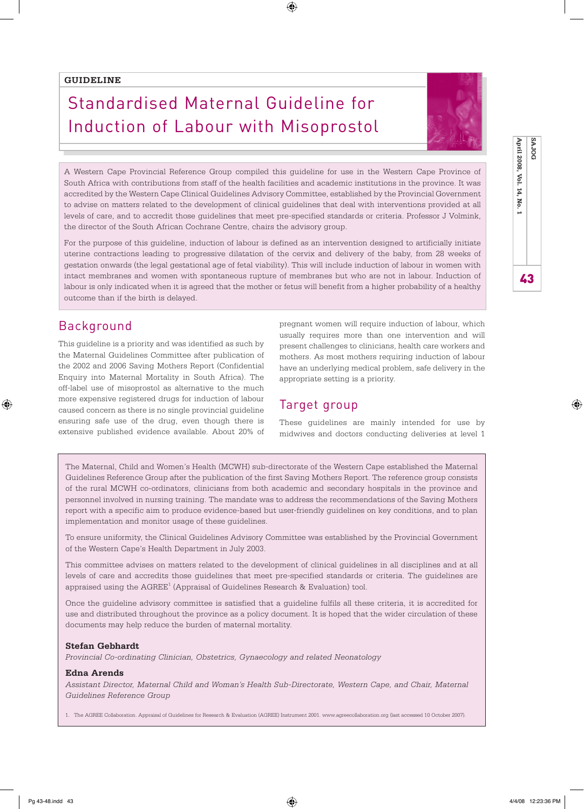### **GUIDELINE**

# Standardised Maternal Guideline for Induction of Labour with Misoprostol



43 **April 2008, Vol. 14, No. 1 SAJOG**

43

April 2008, Vol. 14, No. 1

SAJOG

A Western Cape Provincial Reference Group compiled this guideline for use in the Western Cape Province of South Africa with contributions from staff of the health facilities and academic institutions in the province. It was accredited by the Western Cape Clinical Guidelines Advisory Committee, established by the Provincial Government to advise on matters related to the development of clinical guidelines that deal with interventions provided at all levels of care, and to accredit those guidelines that meet pre-specified standards or criteria. Professor J Volmink, the director of the South African Cochrane Centre, chairs the advisory group.

⊕

For the purpose of this guideline, induction of labour is defined as an intervention designed to artificially initiate uterine contractions leading to progressive dilatation of the cervix and delivery of the baby, from 28 weeks of gestation onwards (the legal gestational age of fetal viability). This will include induction of labour in women with intact membranes and women with spontaneous rupture of membranes but who are not in labour. Induction of labour is only indicated when it is agreed that the mother or fetus will benefit from a higher probability of a healthy outcome than if the birth is delayed.

### Background

⊕

This guideline is a priority and was identified as such by the Maternal Guidelines Committee after publication of the 2002 and 2006 Saving Mothers Report (Confidential Enquiry into Maternal Mortality in South Africa). The off-label use of misoprostol as alternative to the much more expensive registered drugs for induction of labour caused concern as there is no single provincial guideline ensuring safe use of the drug, even though there is extensive published evidence available. About 20% of pregnant women will require induction of labour, which usually requires more than one intervention and will present challenges to clinicians, health care workers and mothers. As most mothers requiring induction of labour have an underlying medical problem, safe delivery in the appropriate setting is a priority.

### Target group

These guidelines are mainly intended for use by midwives and doctors conducting deliveries at level 1

The Maternal, Child and Women's Health (MCWH) sub-directorate of the Western Cape established the Maternal Guidelines Reference Group after the publication of the first Saving Mothers Report. The reference group consists of the rural MCWH co-ordinators, clinicians from both academic and secondary hospitals in the province and personnel involved in nursing training. The mandate was to address the recommendations of the Saving Mothers report with a specific aim to produce evidence-based but user-friendly guidelines on key conditions, and to plan implementation and monitor usage of these guidelines.

To ensure uniformity, the Clinical Guidelines Advisory Committee was established by the Provincial Government of the Western Cape's Health Department in July 2003.

This committee advises on matters related to the development of clinical guidelines in all disciplines and at all levels of care and accredits those guidelines that meet pre-specified standards or criteria. The guidelines are appraised using the AGREE<sup>1</sup> (Appraisal of Guidelines Research & Evaluation) tool.

Once the guideline advisory committee is satisfied that a guideline fulfils all these criteria, it is accredited for use and distributed throughout the province as a policy document. It is hoped that the wider circulation of these documents may help reduce the burden of maternal mortality.

#### **Stefan Gebhardt**

*Provincial Co-ordinating Clinician, Obstetrics, Gynaecology and related Neonatology*

#### **Edna Arends**

*Assistant Director, Maternal Child and Woman's Health Sub-Directorate, Western Cape, and Chair, Maternal Guidelines Reference Group*

1. The AGREE Collaboration. Appraisal of Guidelines for Research & Evaluation (AGREE) Instrument 2001. www.agreecollaboration.org (last accessed 10 October 2007).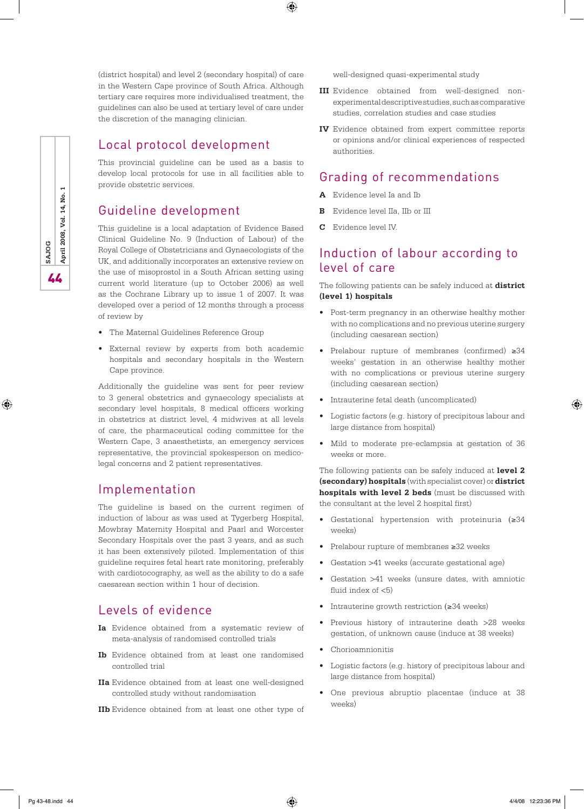(district hospital) and level 2 (secondary hospital) of care in the Western Cape province of South Africa. Although tertiary care requires more individualised treatment, the guidelines can also be used at tertiary level of care under the discretion of the managing clinician.

⊕

### Local protocol development

This provincial guideline can be used as a basis to develop local protocols for use in all facilities able to provide obstetric services.

# Guideline development

This guideline is a local adaptation of Evidence Based Clinical Guideline No. 9 (Induction of Labour) of the Royal College of Obstetricians and Gynaecologists of the UK, and additionally incorporates an extensive review on the use of misoprostol in a South African setting using current world literature (up to October 2006) as well as the Cochrane Library up to issue 1 of 2007. It was developed over a period of 12 months through a process of review by

- The Maternal Guidelines Reference Group
- External review by experts from both academic hospitals and secondary hospitals in the Western Cape province.

Additionally the guideline was sent for peer review to 3 general obstetrics and gynaecology specialists at secondary level hospitals, 8 medical officers working in obstetrics at district level, 4 midwives at all levels of care, the pharmaceutical coding committee for the Western Cape, 3 anaesthetists, an emergency services representative, the provincial spokesperson on medicolegal concerns and 2 patient representatives.

### Implementation

The guideline is based on the current regimen of induction of labour as was used at Tygerberg Hospital, Mowbray Maternity Hospital and Paarl and Worcester Secondary Hospitals over the past 3 years, and as such it has been extensively piloted. Implementation of this guideline requires fetal heart rate monitoring, preferably with cardiotocography, as well as the ability to do a safe caesarean section within 1 hour of decision.

## Levels of evidence

- **Ia** Evidence obtained from a systematic review of meta-analysis of randomised controlled trials
- **Ib** Evidence obtained from at least one randomised controlled trial
- **IIa** Evidence obtained from at least one well-designed controlled study without randomisation
- **IIb** Evidence obtained from at least one other type of

well-designed quasi-experimental study

- **III** Evidence obtained from well-designed nonexperimental descriptive studies, such as comparative studies, correlation studies and case studies
- **IV** Evidence obtained from expert committee reports or opinions and/or clinical experiences of respected authorities.

### Grading of recommendations

- **A** Evidence level Ia and Ib
- **B** Evidence level IIa, IIb or III
- **C** Evidence level IV.

### Induction of labour according to level of care

The following patients can be safely induced at **district (level 1) hospitals**

- Post-term pregnancy in an otherwise healthy mother with no complications and no previous uterine surgery (including caesarean section)
- Prelabour rupture of membranes (confirmed) ≥34 weeks' gestation in an otherwise healthy mother with no complications or previous uterine surgery (including caesarean section)
- Intrauterine fetal death (uncomplicated)
- Logistic factors (e.g. history of precipitous labour and large distance from hospital)
- Mild to moderate pre-eclampsia at gestation of 36 weeks or more.

The following patients can be safely induced at **level 2 (secondary) hospitals** (with specialist cover) or **district hospitals with level 2 beds** (must be discussed with the consultant at the level 2 hospital first)

- Gestational hypertension with proteinuria (≥34 weeks)
- Prelabour rupture of membranes ≥32 weeks
- Gestation >41 weeks (accurate gestational age)
- Gestation >41 weeks (unsure dates, with amniotic fluid index of  $<$ 5)
- Intrauterine growth restriction (≥34 weeks)
- Previous history of intrauterine death >28 weeks gestation, of unknown cause (induce at 38 weeks)
- Chorioamnionitis
- Logistic factors (e.g. history of precipitous labour and large distance from hospital)
- One previous abruptio placentae (induce at 38 weeks)

⊕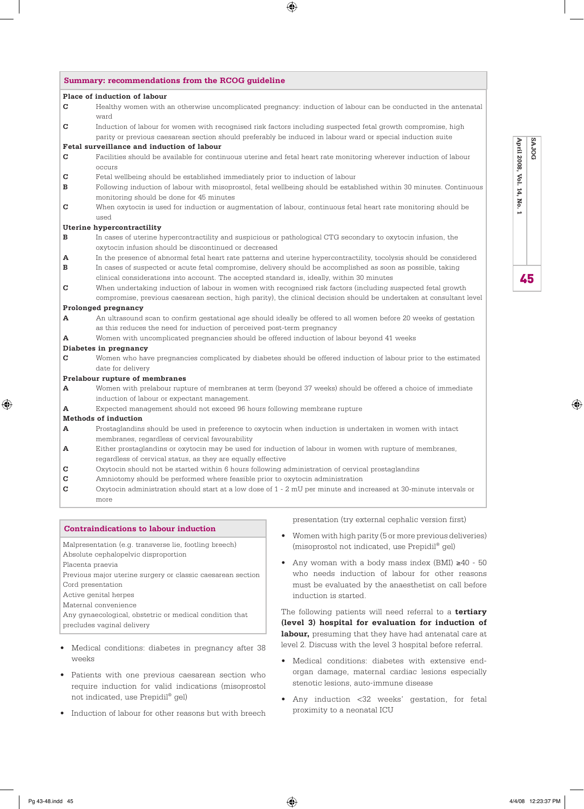|                            | Place of induction of labour                                                                                                 |
|----------------------------|------------------------------------------------------------------------------------------------------------------------------|
| C                          | Healthy women with an otherwise uncomplicated pregnancy: induction of labour can be conducted in the antenatal               |
|                            | ward                                                                                                                         |
| C                          | Induction of labour for women with recognised risk factors including suspected fetal growth compromise, high                 |
|                            | parity or previous caesarean section should preferably be induced in labour ward or special induction suite                  |
|                            | Fetal surveillance and induction of labour                                                                                   |
| C                          | Facilities should be available for continuous uterine and fetal heart rate monitoring wherever induction of labour<br>occurs |
| C                          | Fetal wellbeing should be established immediately prior to induction of labour                                               |
| в                          | Following induction of labour with misoprostol, fetal wellbeing should be established within 30 minutes. Continuous          |
|                            | monitoring should be done for 45 minutes                                                                                     |
| C                          | When oxytocin is used for induction or augmentation of labour, continuous fetal heart rate monitoring should be              |
|                            | used                                                                                                                         |
|                            | Uterine hypercontractility                                                                                                   |
| в                          | In cases of uterine hypercontractility and suspicious or pathological CTG secondary to oxytocin infusion, the                |
|                            | oxytocin infusion should be discontinued or decreased                                                                        |
| A                          | In the presence of abnormal fetal heart rate patterns and uterine hypercontractility, tocolysis should be considered         |
|                            | In cases of suspected or acute fetal compromise, delivery should be accomplished as soon as possible, taking                 |
|                            | clinical considerations into account. The accepted standard is, ideally, within 30 minutes                                   |
|                            | When undertaking induction of labour in women with recognised risk factors (including suspected fetal growth                 |
|                            | compromise, previous caesarean section, high parity), the clinical decision should be undertaken at consultant level         |
|                            | Prolonged pregnancy                                                                                                          |
| A                          | An ultrasound scan to confirm gestational age should ideally be offered to all women before 20 weeks of gestation            |
|                            | as this reduces the need for induction of perceived post-term pregnancy                                                      |
| А                          | Women with uncomplicated pregnancies should be offered induction of labour beyond 41 weeks                                   |
|                            | Diabetes in pregnancy                                                                                                        |
| C                          | Women who have pregnancies complicated by diabetes should be offered induction of labour prior to the estimated              |
|                            | date for delivery                                                                                                            |
|                            | Prelabour rupture of membranes                                                                                               |
| A                          | Women with prelabour rupture of membranes at term (beyond 37 weeks) should be offered a choice of immediate                  |
|                            | induction of labour or expectant management.                                                                                 |
| A                          | Expected management should not exceed 96 hours following membrane rupture                                                    |
|                            | Methods of induction                                                                                                         |
| A                          | Prostaglandins should be used in preference to oxytocin when induction is undertaken in women with intact                    |
|                            | membranes, regardless of cervical favourability                                                                              |
| A                          | Either prostaglandins or oxytocin may be used for induction of labour in women with rupture of membranes,                    |
|                            | regardless of cervical status, as they are equally effective                                                                 |
| C                          | Oxytocin should not be started within 6 hours following administration of cervical prostaglandins                            |
| $\mathbf C$<br>$\mathbf C$ | Amniotomy should be performed where feasible prior to oxytocin administration                                                |
|                            | Oxytocin administration should start at a low dose of 1 - 2 mU per minute and increased at 30-minute intervals or            |
|                            | more                                                                                                                         |

 $\bigoplus$ 

Malpresentation (e.g. transverse lie, footling breech)

Absolute cephalopelvic disproportion

Placenta praevia

Previous major uterine surgery or classic caesarean section

Cord presentation

Active genital herpes

Maternal convenience

Any gynaecological, obstetric or medical condition that precludes vaginal delivery

- Medical conditions: diabetes in pregnancy after 38 weeks
- Patients with one previous caesarean section who require induction for valid indications (misoprostol not indicated, use Prepidil® gel)
- Induction of labour for other reasons but with breech

presentation (try external cephalic version first)

- Women with high parity (5 or more previous deliveries) (misoprostol not indicated, use Prepidil® gel)
- Any woman with a body mass index (BMI) ≥40 50 who needs induction of labour for other reasons must be evaluated by the anaesthetist on call before induction is started.

The following patients will need referral to a **tertiary (level 3) hospital for evaluation for induction of labour,** presuming that they have had antenatal care at level 2. Discuss with the level 3 hospital before referral.

- Medical conditions: diabetes with extensive endorgan damage, maternal cardiac lesions especially stenotic lesions, auto-immune disease
- Any induction <32 weeks' gestation, for fetal proximity to a neonatal ICU

SAJOG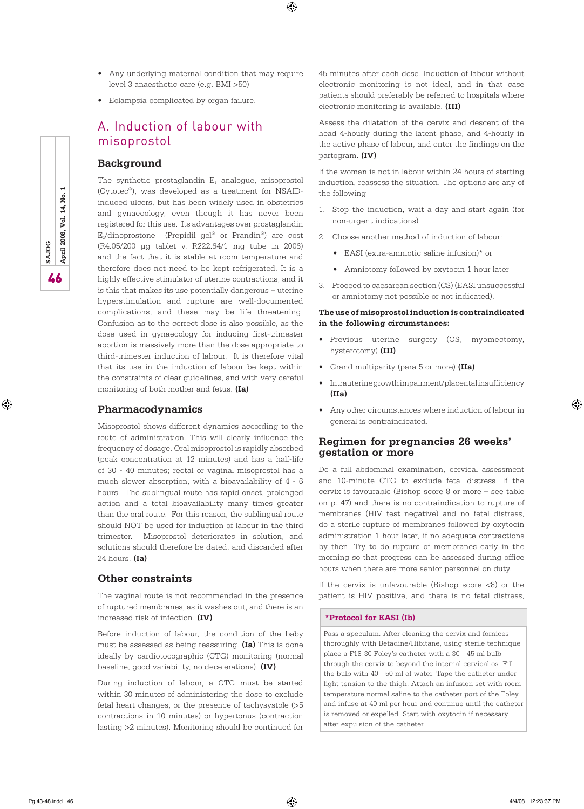• Any underlying maternal condition that may require level 3 anaesthetic care (e.g. BMI >50)

 $\bigoplus$ 

• Eclampsia complicated by organ failure.

# A. Induction of labour with misoprostol

#### **Background**

The synthetic prostaglandin  $E_1$  analogue, misoprostol (Cytotec®), was developed as a treatment for NSAIDinduced ulcers, but has been widely used in obstetrics and gynaecology, even though it has never been registered for this use. Its advantages over prostaglandin  $E_2/dinoprostone$  (Prepidil gel® or Prandin®) are cost (R4.05/200 µg tablet v. R222.64/1 mg tube in 2006) and the fact that it is stable at room temperature and therefore does not need to be kept refrigerated. It is a highly effective stimulator of uterine contractions, and it is this that makes its use potentially dangerous – uterine hyperstimulation and rupture are well-documented complications, and these may be life threatening. Confusion as to the correct dose is also possible, as the dose used in gynaecology for inducing first-trimester abortion is massively more than the dose appropriate to third-trimester induction of labour. It is therefore vital that its use in the induction of labour be kept within the constraints of clear guidelines, and with very careful monitoring of both mother and fetus. **(Ia)**

### **Pharmacodynamics**

Misoprostol shows different dynamics according to the route of administration. This will clearly influence the frequency of dosage. Oral misoprostol is rapidly absorbed (peak concentration at 12 minutes) and has a half-life of 30 - 40 minutes; rectal or vaginal misoprostol has a much slower absorption, with a bioavailability of 4 - 6 hours. The sublingual route has rapid onset, prolonged action and a total bioavailability many times greater than the oral route. For this reason, the sublingual route should NOT be used for induction of labour in the third trimester. Misoprostol deteriorates in solution, and solutions should therefore be dated, and discarded after 24 hours. **(Ia)**

### **Other constraints**

The vaginal route is not recommended in the presence of ruptured membranes, as it washes out, and there is an increased risk of infection. **(IV)**

Before induction of labour, the condition of the baby must be assessed as being reassuring. **(Ia)** This is done ideally by cardiotocographic (CTG) monitoring (normal baseline, good variability, no decelerations). **(IV)**

During induction of labour, a CTG must be started within 30 minutes of administering the dose to exclude fetal heart changes, or the presence of tachysystole (>5 contractions in 10 minutes) or hypertonus (contraction lasting >2 minutes). Monitoring should be continued for

45 minutes after each dose. Induction of labour without electronic monitoring is not ideal, and in that case patients should preferably be referred to hospitals where electronic monitoring is available. **(III)**

Assess the dilatation of the cervix and descent of the head 4-hourly during the latent phase, and 4-hourly in the active phase of labour, and enter the findings on the partogram. **(IV)**

If the woman is not in labour within 24 hours of starting induction, reassess the situation. The options are any of the following

- 1. Stop the induction, wait a day and start again (for non-urgent indications)
- 2. Choose another method of induction of labour:
	- EASI (extra-amniotic saline infusion)\* or
	- Amniotomy followed by oxytocin 1 hour later
- 3. Proceed to caesarean section (CS) (EASI unsuccessful or amniotomy not possible or not indicated).

### **The use of misoprostol induction is contraindicated in the following circumstances:**

- Previous uterine surgery (CS, myomectomy, hysterotomy) **(III)**
- Grand multiparity (para 5 or more) **(IIa)**
- Intrauterine growth impairment/placental insufficiency **(IIa)**
- Any other circumstances where induction of labour in general is contraindicated.

### **Regimen for pregnancies 26 weeks' gestation or more**

Do a full abdominal examination, cervical assessment and 10-minute CTG to exclude fetal distress. If the cervix is favourable (Bishop score 8 or more – see table on p. 47) and there is no contraindication to rupture of membranes (HIV test negative) and no fetal distress, do a sterile rupture of membranes followed by oxytocin administration 1 hour later, if no adequate contractions by then. Try to do rupture of membranes early in the morning so that progress can be assessed during office hours when there are more senior personnel on duty.

If the cervix is unfavourable (Bishop score  $\langle 8 \rangle$  or the patient is HIV positive, and there is no fetal distress,

#### **\*Protocol for EASI (Ib)**

Pass a speculum. After cleaning the cervix and fornices thoroughly with Betadine/Hibitane, using sterile technique place a F18-30 Foley's catheter with a 30 - 45 ml bulb through the cervix to beyond the internal cervical os. Fill the bulb with 40 - 50 ml of water. Tape the catheter under light tension to the thigh. Attach an infusion set with room temperature normal saline to the catheter port of the Foley and infuse at 40 ml per hour and continue until the catheter is removed or expelled. Start with oxytocin if necessary after expulsion of the catheter.

**SAJOG**<br>**April 2008, Vol. 14, No.** 

⊕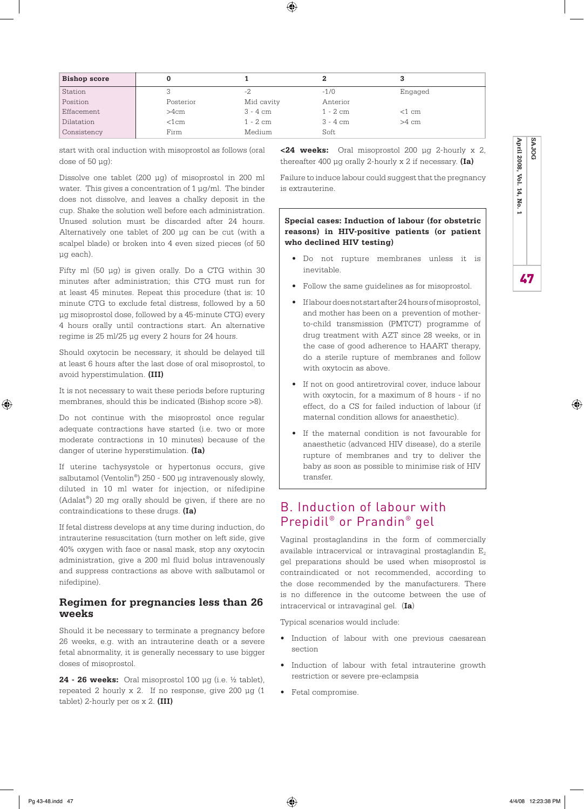| <b>Bishop score</b> |            |            |            |                 |  |
|---------------------|------------|------------|------------|-----------------|--|
| Station             |            | -2         | $-1/0$     | Engaged         |  |
| Position            | Posterior  | Mid cavity | Anterior   |                 |  |
| Effacement          | >4cm       | 3 - 4 cm   | $1 - 2$ cm | $<$ 1 cm        |  |
| Dilatation          | $<$ 1 $cm$ | $1 - 2$ cm | $3 - 4$ cm | $>4 \text{ cm}$ |  |
| Consistency         | Firm       | Medium     | Soft       |                 |  |

 $\bigoplus$ 

start with oral induction with misoprostol as follows (oral dose of  $50 \mu g$ ):

Dissolve one tablet (200 µg) of misoprostol in 200 ml water. This gives a concentration of 1 µg/ml. The binder does not dissolve, and leaves a chalky deposit in the cup. Shake the solution well before each administration. Unused solution must be discarded after 24 hours. Alternatively one tablet of 200 µg can be cut (with a scalpel blade) or broken into 4 even sized pieces (of 50 µg each).

Fifty ml (50 µg) is given orally. Do a CTG within 30 minutes after administration; this CTG must run for at least 45 minutes. Repeat this procedure (that is: 10 minute CTG to exclude fetal distress, followed by a 50 µg misoprostol dose, followed by a 45-minute CTG) every 4 hours orally until contractions start. An alternative regime is 25 ml/25 µg every 2 hours for 24 hours.

Should oxytocin be necessary, it should be delayed till at least 6 hours after the last dose of oral misoprostol, to avoid hyperstimulation. **(III)**

It is not necessary to wait these periods before rupturing membranes, should this be indicated (Bishop score >8).

Do not continue with the misoprostol once regular adequate contractions have started (i.e. two or more moderate contractions in 10 minutes) because of the danger of uterine hyperstimulation. **(Ia)**

If uterine tachysystole or hypertonus occurs, give salbutamol (Ventolin®) 250 - 500 µg intravenously slowly, diluted in 10 ml water for injection, or nifedipine (Adalat®) 20 mg orally should be given, if there are no contraindications to these drugs. **(Ia)**

If fetal distress develops at any time during induction, do intrauterine resuscitation (turn mother on left side, give 40% oxygen with face or nasal mask, stop any oxytocin administration, give a 200 ml fluid bolus intravenously and suppress contractions as above with salbutamol or nifedipine).

### **Regimen for pregnancies less than 26 weeks**

Should it be necessary to terminate a pregnancy before 26 weeks, e.g. with an intrauterine death or a severe fetal abnormality, it is generally necessary to use bigger doses of misoprostol.

**24 - 26 weeks:** Oral misoprostol 100 µg (i.e. ½ tablet), repeated 2 hourly x 2. If no response, give 200 µg (1 tablet) 2-hourly per os x 2. **(III)**

**<24 weeks:** Oral misoprostol 200 µg 2-hourly x 2, thereafter 400 µg orally 2-hourly x 2 if necessary. **(Ia)**

Failure to induce labour could suggest that the pregnancy is extrauterine.

### **Special cases: Induction of labour (for obstetric reasons) in HIV-positive patients (or patient who declined HIV testing)**

- Do not rupture membranes unless it is inevitable.
- Follow the same guidelines as for misoprostol.
- If labour does not start after 24 hours of misoprostol, and mother has been on a prevention of motherto-child transmission (PMTCT) programme of drug treatment with AZT since 28 weeks, or in the case of good adherence to HAART therapy, do a sterile rupture of membranes and follow with oxytocin as above.
- If not on good antiretroviral cover, induce labour with oxytocin, for a maximum of 8 hours - if no effect, do a CS for failed induction of labour (if maternal condition allows for anaesthetic).
- If the maternal condition is not favourable for anaesthetic (advanced HIV disease), do a sterile rupture of membranes and try to deliver the baby as soon as possible to minimise risk of HIV transfer.

# B. Induction of labour with Prepidil® or Prandin® gel

Vaginal prostaglandins in the form of commercially available intracervical or intravaginal prostaglandin  $E_2$ gel preparations should be used when misoprostol is contraindicated or not recommended, according to the dose recommended by the manufacturers. There is no difference in the outcome between the use of intracervical or intravaginal gel. (**Ia**)

Typical scenarios would include:

- Induction of labour with one previous caesarean section
- Induction of labour with fetal intrauterine growth restriction or severe pre-eclampsia
- Fetal compromise.



⊕

47 **April 2008, Vol. 14, No. 1 SAJOG**

47

April 2008, Vol. 14, No. 1

**BOLAS**